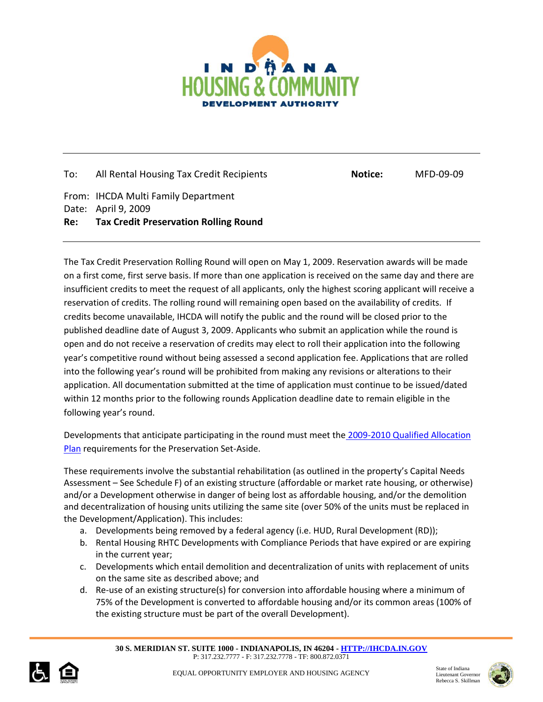

To: All Rental Housing Tax Credit Recipients **Notice:** MFD-09-09 From: IHCDA Multi Family Department Date: April 9, 2009 **Re: Tax Credit Preservation Rolling Round**

The Tax Credit Preservation Rolling Round will open on May 1, 2009. Reservation awards will be made on a first come, first serve basis. If more than one application is received on the same day and there are insufficient credits to meet the request of all applicants, only the highest scoring applicant will receive a reservation of credits. The rolling round will remaining open based on the availability of credits. If credits become unavailable, IHCDA will notify the public and the round will be closed prior to the published deadline date of August 3, 2009. Applicants who submit an application while the round is open and do not receive a reservation of credits may elect to roll their application into the following year's competitive round without being assessed a second application fee. Applications that are rolled into the following year's round will be prohibited from making any revisions or alterations to their application. All documentation submitted at the time of application must continue to be issued/dated within 12 months prior to the following rounds Application deadline date to remain eligible in the following year's round.

Developments that anticipate participating in the round must meet the [2009-2010 Qualified Allocation](http://www.in.gov/ihcda/2514.htm)  [Plan](http://www.in.gov/ihcda/2514.htm) requirements for the Preservation Set-Aside.

These requirements involve the substantial rehabilitation (as outlined in the property's Capital Needs Assessment – See Schedule F) of an existing structure (affordable or market rate housing, or otherwise) and/or a Development otherwise in danger of being lost as affordable housing, and/or the demolition and decentralization of housing units utilizing the same site (over 50% of the units must be replaced in the Development/Application). This includes:

- a. Developments being removed by a federal agency (i.e. HUD, Rural Development (RD));
- b. Rental Housing RHTC Developments with Compliance Periods that have expired or are expiring in the current year;
- c. Developments which entail demolition and decentralization of units with replacement of units on the same site as described above; and
- d. Re-use of an existing structure(s) for conversion into affordable housing where a minimum of 75% of the Development is converted to affordable housing and/or its common areas (100% of the existing structure must be part of the overall Development).

**30 S. MERIDIAN ST. SUITE 1000 - INDIANAPOLIS, IN 46204 - HTTP://IHCDA.IN.GOV** P: 317.232.7777 - F: 317.232.7778 - TF: 800.872.0371